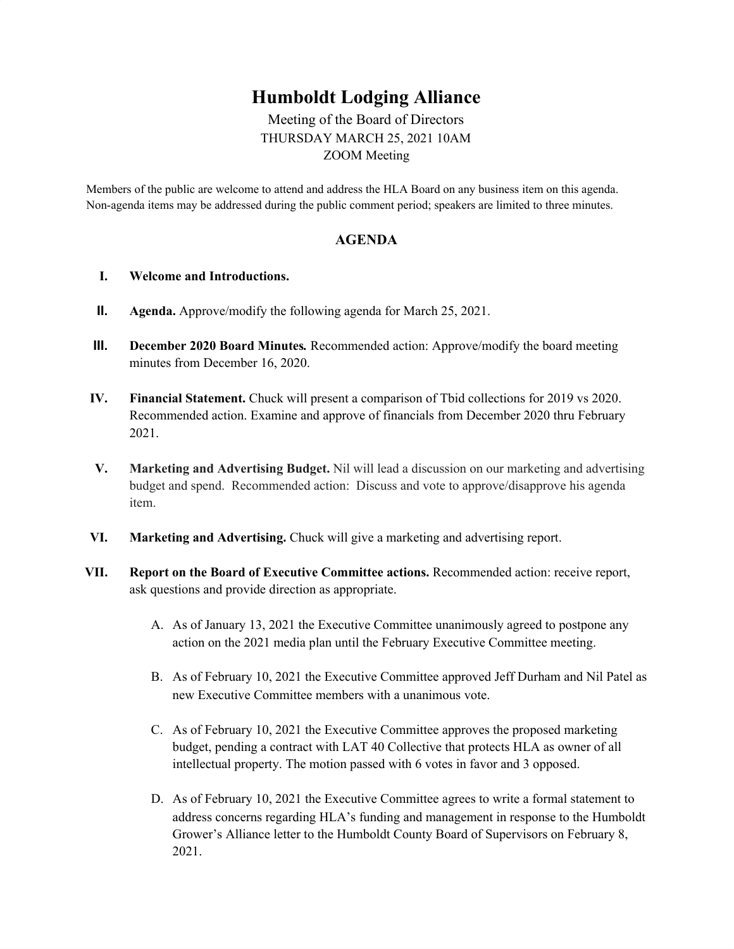## **Humboldt Lodging Alliance**

Meeting of the Board of Directors THURSDAY MARCH 25, 2021 10AM ZOOM Meeting

Members of the public are welcome to attend and address the HLA Board on any business item on this agenda. Non-agenda items may be addressed during the public comment period; speakers are limited to three minutes.

## **AGENDA**

## **I. Welcome and Introductions.**

- **II. Agenda.** Approve/modify the following agenda for March 25, 2021.
- **III. December 2020 Board Minutes***.* Recommended action: Approve/modify the board meeting minutes from December 16, 2020.
- **IV. Financial Statement.** Chuck will present a comparison of Tbid collections for 2019 vs 2020. Recommended action. Examine and approve of financials from December 2020 thru February 2021.
- **V. Marketing and Advertising Budget.** Nil will lead a discussion on our marketing and advertising budget and spend. Recommended action: Discuss and vote to approve/disapprove his agenda item.
- **VI. Marketing and Advertising.** Chuck will give a marketing and advertising report.
- **VII. Report on the Board of Executive Committee actions.** Recommended action: receive report, ask questions and provide direction as appropriate.
	- A. As of January 13, 2021 the Executive Committee unanimously agreed to postpone any action on the 2021 media plan until the February Executive Committee meeting.
	- B. As of February 10, 2021 the Executive Committee approved Jeff Durham and Nil Patel as new Executive Committee members with a unanimous vote.
	- C. As of February 10, 2021 the Executive Committee approves the proposed marketing budget, pending a contract with LAT 40 Collective that protects HLA as owner of all intellectual property. The motion passed with 6 votes in favor and 3 opposed.
	- D. As of February 10, 2021 the Executive Committee agrees to write a formal statement to address concerns regarding HLA's funding and management in response to the Humboldt Grower's Alliance letter to the Humboldt County Board of Supervisors on February 8, 2021.